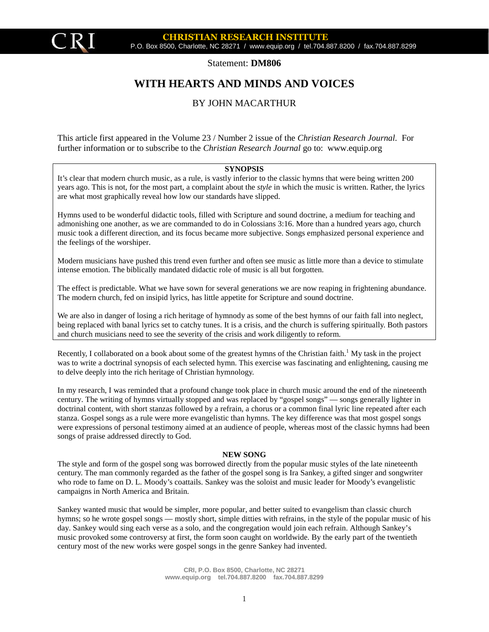

Statement: **DM806**

# **WITH HEARTS AND MINDS AND VOICES**

## BY JOHN MACARTHUR

This article first appeared in the Volume 23 / Number 2 issue of the *Christian Research Journal.* For further information or to subscribe to the *Christian Research Journal* go to: www.equip.org

#### **SYNOPSIS**

It's clear that modern church music, as a rule, is vastly inferior to the classic hymns that were being written 200 years ago. This is not, for the most part, a complaint about the *style* in which the music is written. Rather, the lyrics are what most graphically reveal how low our standards have slipped.

Hymns used to be wonderful didactic tools, filled with Scripture and sound doctrine, a medium for teaching and admonishing one another, as we are commanded to do in Colossians 3:16. More than a hundred years ago, church music took a different direction, and its focus became more subjective. Songs emphasized personal experience and the feelings of the worshiper.

Modern musicians have pushed this trend even further and often see music as little more than a device to stimulate intense emotion. The biblically mandated didactic role of music is all but forgotten.

The effect is predictable. What we have sown for several generations we are now reaping in frightening abundance. The modern church, fed on insipid lyrics, has little appetite for Scripture and sound doctrine.

We are also in danger of losing a rich heritage of hymnody as some of the best hymns of our faith fall into neglect, being replaced with banal lyrics set to catchy tunes. It is a crisis, and the church is suffering spiritually. Both pastors and church musicians need to see the severity of the crisis and work diligently to reform.

Recently, I collaborated on a book about some of the greatest hymns of the Christian faith.<sup>1</sup> My task in the project was to write a doctrinal synopsis of each selected hymn. This exercise was fascinating and enlightening, causing me to delve deeply into the rich heritage of Christian hymnology.

In my research, I was reminded that a profound change took place in church music around the end of the nineteenth century. The writing of hymns virtually stopped and was replaced by "gospel songs" — songs generally lighter in doctrinal content, with short stanzas followed by a refrain, a chorus or a common final lyric line repeated after each stanza. Gospel songs as a rule were more evangelistic than hymns. The key difference was that most gospel songs were expressions of personal testimony aimed at an audience of people, whereas most of the classic hymns had been songs of praise addressed directly to God.

#### **NEW SONG**

The style and form of the gospel song was borrowed directly from the popular music styles of the late nineteenth century. The man commonly regarded as the father of the gospel song is Ira Sankey, a gifted singer and songwriter who rode to fame on D. L. Moody's coattails. Sankey was the soloist and music leader for Moody's evangelistic campaigns in North America and Britain.

Sankey wanted music that would be simpler, more popular, and better suited to evangelism than classic church hymns; so he wrote gospel songs — mostly short, simple ditties with refrains, in the style of the popular music of his day. Sankey would sing each verse as a solo, and the congregation would join each refrain. Although Sankey's music provoked some controversy at first, the form soon caught on worldwide. By the early part of the twentieth century most of the new works were gospel songs in the genre Sankey had invented.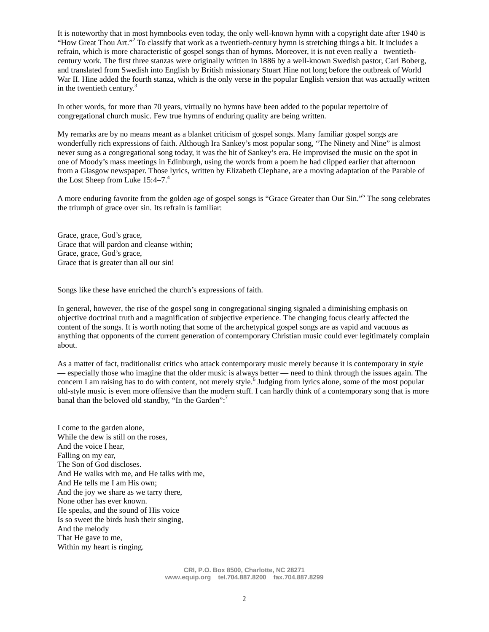It is noteworthy that in most hymnbooks even today, the only well-known hymn with a copyright date after 1940 is "How Great Thou Art."<sup>2</sup> To classify that work as a twentieth-century hymn is stretching things a bit. It includes a refrain, which is more characteristic of gospel songs than of hymns. Moreover, it is not even really a twentiethcentury work. The first three stanzas were originally written in 1886 by a well-known Swedish pastor, Carl Boberg, and translated from Swedish into English by British missionary Stuart Hine not long before the outbreak of World War II. Hine added the fourth stanza, which is the only verse in the popular English version that was actually written in the twentieth century. $3$ 

In other words, for more than 70 years, virtually no hymns have been added to the popular repertoire of congregational church music. Few true hymns of enduring quality are being written.

My remarks are by no means meant as a blanket criticism of gospel songs. Many familiar gospel songs are wonderfully rich expressions of faith. Although Ira Sankey's most popular song, "The Ninety and Nine" is almost never sung as a congregational song today, it was the hit of Sankey's era. He improvised the music on the spot in one of Moody's mass meetings in Edinburgh, using the words from a poem he had clipped earlier that afternoon from a Glasgow newspaper. Those lyrics, written by Elizabeth Clephane, are a moving adaptation of the Parable of the Lost Sheep from Luke 15:4–7.<sup>4</sup>

A more enduring favorite from the golden age of gospel songs is "Grace Greater than Our Sin."<sup>5</sup> The song celebrates the triumph of grace over sin. Its refrain is familiar:

Grace, grace, God's grace, Grace that will pardon and cleanse within; Grace, grace, God's grace, Grace that is greater than all our sin!

Songs like these have enriched the church's expressions of faith.

In general, however, the rise of the gospel song in congregational singing signaled a diminishing emphasis on objective doctrinal truth and a magnification of subjective experience. The changing focus clearly affected the content of the songs. It is worth noting that some of the archetypical gospel songs are as vapid and vacuous as anything that opponents of the current generation of contemporary Christian music could ever legitimately complain about.

As a matter of fact, traditionalist critics who attack contemporary music merely because it is contemporary in *style* — especially those who imagine that the older music is always better — need to think through the issues again. The concern I am raising has to do with content, not merely style.<sup>6</sup> Judging from lyrics alone, some of the most popular old-style music is even more offensive than the modern stuff. I can hardly think of a contemporary song that is more banal than the beloved old standby, "In the Garden": $<sup>7</sup>$ </sup>

I come to the garden alone, While the dew is still on the roses, And the voice I hear, Falling on my ear, The Son of God discloses. And He walks with me, and He talks with me, And He tells me I am His own; And the joy we share as we tarry there, None other has ever known. He speaks, and the sound of His voice Is so sweet the birds hush their singing, And the melody That He gave to me, Within my heart is ringing.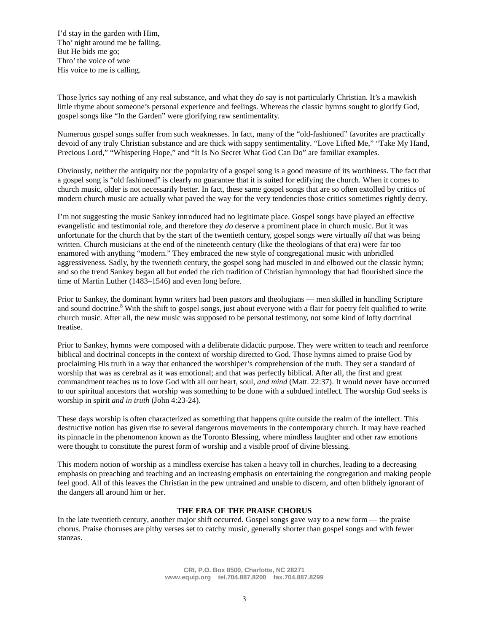I'd stay in the garden with Him, Tho' night around me be falling, But He bids me go; Thro' the voice of woe His voice to me is calling.

Those lyrics say nothing of any real substance, and what they *do* say is not particularly Christian. It's a mawkish little rhyme about someone's personal experience and feelings. Whereas the classic hymns sought to glorify God, gospel songs like "In the Garden" were glorifying raw sentimentality.

Numerous gospel songs suffer from such weaknesses. In fact, many of the "old-fashioned" favorites are practically devoid of any truly Christian substance and are thick with sappy sentimentality. "Love Lifted Me," "Take My Hand, Precious Lord," "Whispering Hope," and "It Is No Secret What God Can Do" are familiar examples.

Obviously, neither the antiquity nor the popularity of a gospel song is a good measure of its worthiness. The fact that a gospel song is "old fashioned" is clearly no guarantee that it is suited for edifying the church. When it comes to church music, older is not necessarily better. In fact, these same gospel songs that are so often extolled by critics of modern church music are actually what paved the way for the very tendencies those critics sometimes rightly decry.

I'm not suggesting the music Sankey introduced had no legitimate place. Gospel songs have played an effective evangelistic and testimonial role, and therefore they *do* deserve a prominent place in church music. But it was unfortunate for the church that by the start of the twentieth century, gospel songs were virtually *all* that was being written. Church musicians at the end of the nineteenth century (like the theologians of that era) were far too enamored with anything "modern." They embraced the new style of congregational music with unbridled aggressiveness. Sadly, by the twentieth century, the gospel song had muscled in and elbowed out the classic hymn; and so the trend Sankey began all but ended the rich tradition of Christian hymnology that had flourished since the time of Martin Luther (1483–1546) and even long before.

Prior to Sankey, the dominant hymn writers had been pastors and theologians — men skilled in handling Scripture and sound doctrine.<sup>8</sup> With the shift to gospel songs, just about everyone with a flair for poetry felt qualified to write church music. After all, the new music was supposed to be personal testimony, not some kind of lofty doctrinal treatise.

Prior to Sankey, hymns were composed with a deliberate didactic purpose. They were written to teach and reenforce biblical and doctrinal concepts in the context of worship directed to God. Those hymns aimed to praise God by proclaiming His truth in a way that enhanced the worshiper's comprehension of the truth. They set a standard of worship that was as cerebral as it was emotional; and that was perfectly biblical. After all, the first and great commandment teaches us to love God with all our heart, soul, *and mind* (Matt. 22:37). It would never have occurred to our spiritual ancestors that worship was something to be done with a subdued intellect. The worship God seeks is worship in spirit *and in truth* (John 4:23-24).

These days worship is often characterized as something that happens quite outside the realm of the intellect. This destructive notion has given rise to several dangerous movements in the contemporary church. It may have reached its pinnacle in the phenomenon known as the Toronto Blessing, where mindless laughter and other raw emotions were thought to constitute the purest form of worship and a visible proof of divine blessing.

This modern notion of worship as a mindless exercise has taken a heavy toll in churches, leading to a decreasing emphasis on preaching and teaching and an increasing emphasis on entertaining the congregation and making people feel good. All of this leaves the Christian in the pew untrained and unable to discern, and often blithely ignorant of the dangers all around him or her.

#### **THE ERA OF THE PRAISE CHORUS**

In the late twentieth century, another major shift occurred. Gospel songs gave way to a new form — the praise chorus. Praise choruses are pithy verses set to catchy music, generally shorter than gospel songs and with fewer stanzas.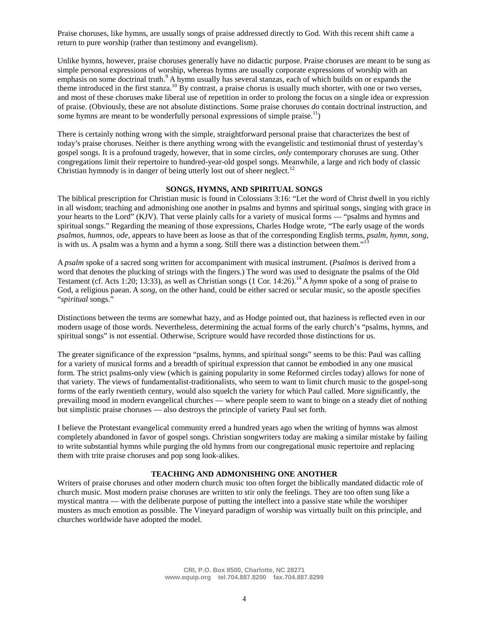Praise choruses, like hymns, are usually songs of praise addressed directly to God. With this recent shift came a return to pure worship (rather than testimony and evangelism).

Unlike hymns, however, praise choruses generally have no didactic purpose. Praise choruses are meant to be sung as simple personal expressions of worship, whereas hymns are usually corporate expressions of worship with an emphasis on some doctrinal truth.<sup>9</sup> A hymn usually has several stanzas, each of which builds on or expands the theme introduced in the first stanza.<sup>10</sup> By contrast, a praise chorus is usually much shorter, with one or two verses, and most of these choruses make liberal use of repetition in order to prolong the focus on a single idea or expression of praise. (Obviously, these are not absolute distinctions. Some praise choruses *do* contain doctrinal instruction, and some hymns are meant to be wonderfully personal expressions of simple praise.<sup>11</sup>)

There is certainly nothing wrong with the simple, straightforward personal praise that characterizes the best of today's praise choruses. Neither is there anything wrong with the evangelistic and testimonial thrust of yesterday's gospel songs. It is a profound tragedy, however, that in some circles, *only* contemporary choruses are sung. Other congregations limit their repertoire to hundred-year-old gospel songs. Meanwhile, a large and rich body of classic Christian hymnody is in danger of being utterly lost out of sheer neglect.<sup>12</sup>

#### **SONGS, HYMNS, AND SPIRITUAL SONGS**

The biblical prescription for Christian music is found in Colossians 3:16: "Let the word of Christ dwell in you richly in all wisdom; teaching and admonishing one another in psalms and hymns and spiritual songs, singing with grace in your hearts to the Lord" (KJV). That verse plainly calls for a variety of musical forms — "psalms and hymns and spiritual songs." Regarding the meaning of those expressions, Charles Hodge wrote, "The early usage of the words *psalmos, humnos, ode,* appears to have been as loose as that of the corresponding English terms, *psalm, hymn, song,* is with us. A psalm was a hymn and a hymn a song. Still there was a distinction between them."<sup>1</sup>

A *psalm* spoke of a sacred song written for accompaniment with musical instrument. (*Psalmos* is derived from a word that denotes the plucking of strings with the fingers.) The word was used to designate the psalms of the Old Testament (cf. Acts 1:20; 13:33), as well as Christian songs (1 Cor. 14:26).<sup>14</sup> A *hymn* spoke of a song of praise to God, a religious paean. A *song,* on the other hand, could be either sacred or secular music, so the apostle specifies "*spiritual* songs."

Distinctions between the terms are somewhat hazy, and as Hodge pointed out, that haziness is reflected even in our modern usage of those words. Nevertheless, determining the actual forms of the early church's "psalms, hymns, and spiritual songs" is not essential. Otherwise, Scripture would have recorded those distinctions for us.

The greater significance of the expression "psalms, hymns, and spiritual songs" seems to be this: Paul was calling for a variety of musical forms and a breadth of spiritual expression that cannot be embodied in any one musical form. The strict psalms-only view (which is gaining popularity in some Reformed circles today) allows for none of that variety. The views of fundamentalist-traditionalists, who seem to want to limit church music to the gospel-song forms of the early twentieth century, would also squelch the variety for which Paul called. More significantly, the prevailing mood in modern evangelical churches — where people seem to want to binge on a steady diet of nothing but simplistic praise choruses — also destroys the principle of variety Paul set forth.

I believe the Protestant evangelical community erred a hundred years ago when the writing of hymns was almost completely abandoned in favor of gospel songs. Christian songwriters today are making a similar mistake by failing to write substantial hymns while purging the old hymns from our congregational music repertoire and replacing them with trite praise choruses and pop song look-alikes.

#### **TEACHING AND ADMONISHING ONE ANOTHER**

Writers of praise choruses and other modern church music too often forget the biblically mandated didactic role of church music. Most modern praise choruses are written to stir only the feelings. They are too often sung like a mystical mantra — with the deliberate purpose of putting the intellect into a passive state while the worshiper musters as much emotion as possible. The Vineyard paradigm of worship was virtually built on this principle, and churches worldwide have adopted the model.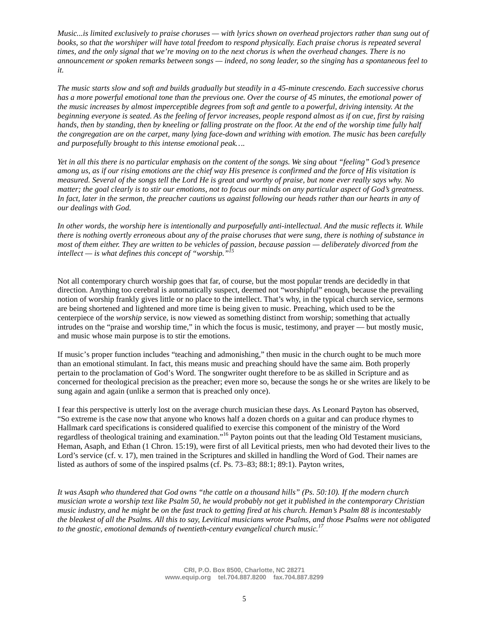*Music...is limited exclusively to praise choruses — with lyrics shown on overhead projectors rather than sung out of books, so that the worshiper will have total freedom to respond physically. Each praise chorus is repeated several times, and the only signal that we're moving on to the next chorus is when the overhead changes. There is no announcement or spoken remarks between songs — indeed, no song leader, so the singing has a spontaneous feel to it.*

*The music starts slow and soft and builds gradually but steadily in a 45-minute crescendo. Each successive chorus has a more powerful emotional tone than the previous one. Over the course of 45 minutes, the emotional power of the music increases by almost imperceptible degrees from soft and gentle to a powerful, driving intensity. At the beginning everyone is seated. As the feeling of fervor increases, people respond almost as if on cue, first by raising hands, then by standing, then by kneeling or falling prostrate on the floor. At the end of the worship time fully half the congregation are on the carpet, many lying face-down and writhing with emotion. The music has been carefully and purposefully brought to this intense emotional peak….*

*Yet in all this there is no particular emphasis on the content of the songs. We sing about "feeling" God's presence among us, as if our rising emotions are the chief way His presence is confirmed and the force of His visitation is measured. Several of the songs tell the Lord He is great and worthy of praise, but none ever really says why. No matter; the goal clearly is to stir our emotions, not to focus our minds on any particular aspect of God's greatness. In fact, later in the sermon, the preacher cautions us against following our heads rather than our hearts in any of our dealings with God.*

*In other words, the worship here is intentionally and purposefully anti-intellectual. And the music reflects it. While there is nothing overtly erroneous about any of the praise choruses that were sung, there is nothing of substance in most of them either. They are written to be vehicles of passion, because passion — deliberately divorced from the intellect* — *is what defines this concept of "worship."* 

Not all contemporary church worship goes that far, of course, but the most popular trends are decidedly in that direction. Anything too cerebral is automatically suspect, deemed not "worshipful" enough, because the prevailing notion of worship frankly gives little or no place to the intellect. That's why, in the typical church service, sermons are being shortened and lightened and more time is being given to music. Preaching, which used to be the centerpiece of the *worship* service, is now viewed as something distinct from worship; something that actually intrudes on the "praise and worship time," in which the focus is music, testimony, and prayer — but mostly music, and music whose main purpose is to stir the emotions.

If music's proper function includes "teaching and admonishing," then music in the church ought to be much more than an emotional stimulant. In fact, this means music and preaching should have the same aim. Both properly pertain to the proclamation of God's Word. The songwriter ought therefore to be as skilled in Scripture and as concerned for theological precision as the preacher; even more so, because the songs he or she writes are likely to be sung again and again (unlike a sermon that is preached only once).

I fear this perspective is utterly lost on the average church musician these days. As Leonard Payton has observed, "So extreme is the case now that anyone who knows half a dozen chords on a guitar and can produce rhymes to Hallmark card specifications is considered qualified to exercise this component of the ministry of the Word regardless of theological training and examination."<sup>16</sup> Payton points out that the leading Old Testament musicians, Heman, Asaph, and Ethan (1 Chron. 15:19), were first of all Levitical priests, men who had devoted their lives to the Lord's service (cf. v. 17), men trained in the Scriptures and skilled in handling the Word of God. Their names are listed as authors of some of the inspired psalms (cf. Ps. 73–83; 88:1; 89:1). Payton writes,

*It was Asaph who thundered that God owns "the cattle on a thousand hills" (Ps. 50:10). If the modern church musician wrote a worship text like Psalm 50, he would probably not get it published in the contemporary Christian music industry, and he might be on the fast track to getting fired at his church. Heman's Psalm 88 is incontestably the bleakest of all the Psalms. All this to say, Levitical musicians wrote Psalms, and those Psalms were not obligated to the gnostic, emotional demands of twentieth-century evangelical church music.<sup>17</sup>*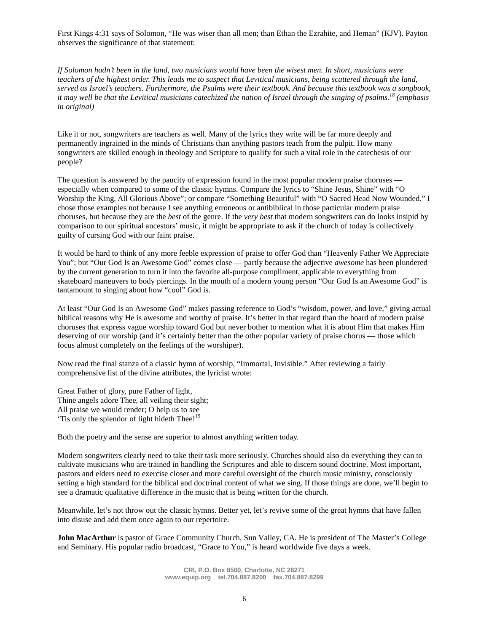First Kings 4:31 says of Solomon, "He was wiser than all men; than Ethan the Ezrahite, and Heman" (KJV). Payton observes the significance of that statement:

*If Solomon hadn't been in the land, two musicians would have been the wisest men. In short, musicians were teachers of the highest order. This leads me to suspect that Levitical musicians, being scattered through the land, served as Israel's teachers. Furthermore, the Psalms were their textbook. And because this textbook was a songbook, it may well be that the Levitical musicians catechized the nation of Israel through the singing of psalms.<sup>18</sup> (emphasis in original)*

Like it or not, songwriters are teachers as well. Many of the lyrics they write will be far more deeply and permanently ingrained in the minds of Christians than anything pastors teach from the pulpit. How many songwriters are skilled enough in theology and Scripture to qualify for such a vital role in the catechesis of our people?

The question is answered by the paucity of expression found in the most popular modern praise choruses especially when compared to some of the classic hymns. Compare the lyrics to "Shine Jesus, Shine" with "O Worship the King, All Glorious Above"; or compare "Something Beautiful" with "O Sacred Head Now Wounded." I chose those examples not because I see anything erroneous or antibiblical in those particular modern praise choruses, but because they are the *best* of the genre. If the *very best* that modern songwriters can do looks insipid by comparison to our spiritual ancestors' music, it might be appropriate to ask if the church of today is collectively guilty of cursing God with our faint praise.

It would be hard to think of any more feeble expression of praise to offer God than "Heavenly Father We Appreciate You"; but "Our God Is an Awesome God" comes close — partly because the adjective *awesome* has been plundered by the current generation to turn it into the favorite all-purpose compliment, applicable to everything from skateboard maneuvers to body piercings. In the mouth of a modern young person "Our God Is an Awesome God" is tantamount to singing about how "cool" God is.

At least "Our God Is an Awesome God" makes passing reference to God's "wisdom, power, and love," giving actual biblical reasons why He is awesome and worthy of praise. It's better in that regard than the hoard of modern praise choruses that express vague worship toward God but never bother to mention what it is about Him that makes Him deserving of our worship (and it's certainly better than the other popular variety of praise chorus — those which focus almost completely on the feelings of the worshiper).

Now read the final stanza of a classic hymn of worship, "Immortal, Invisible." After reviewing a fairly comprehensive list of the divine attributes, the lyricist wrote:

Great Father of glory, pure Father of light, Thine angels adore Thee, all veiling their sight; All praise we would render; O help us to see 'Tis only the splendor of light hideth Thee!<sup>19</sup>

Both the poetry and the sense are superior to almost anything written today.

Modern songwriters clearly need to take their task more seriously. Churches should also do everything they can to cultivate musicians who are trained in handling the Scriptures and able to discern sound doctrine. Most important, pastors and elders need to exercise closer and more careful oversight of the church music ministry, consciously setting a high standard for the biblical and doctrinal content of what we sing. If those things are done, we'll begin to see a dramatic qualitative difference in the music that is being written for the church.

Meanwhile, let's not throw out the classic hymns. Better yet, let's revive some of the great hymns that have fallen into disuse and add them once again to our repertoire.

**John MacArthur** is pastor of Grace Community Church, Sun Valley, CA. He is president of The Master's College and Seminary. His popular radio broadcast, "Grace to You," is heard worldwide five days a week.